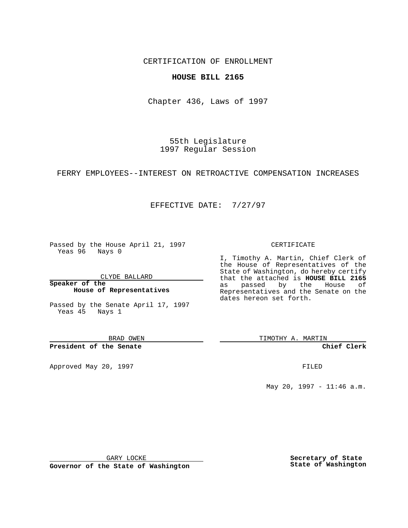CERTIFICATION OF ENROLLMENT

## **HOUSE BILL 2165**

Chapter 436, Laws of 1997

55th Legislature 1997 Regular Session

FERRY EMPLOYEES--INTEREST ON RETROACTIVE COMPENSATION INCREASES

## EFFECTIVE DATE: 7/27/97

Passed by the House April 21, 1997 Yeas 96 Nays 0

CLYDE BALLARD

**Speaker of the House of Representatives**

Passed by the Senate April 17, 1997 Yeas 45 Nays 1

BRAD OWEN

**President of the Senate**

Approved May 20, 1997 **FILED** 

## CERTIFICATE

I, Timothy A. Martin, Chief Clerk of the House of Representatives of the State of Washington, do hereby certify that the attached is **HOUSE BILL 2165** as passed by the House of Representatives and the Senate on the dates hereon set forth.

TIMOTHY A. MARTIN

**Chief Clerk**

May 20, 1997 - 11:46 a.m.

GARY LOCKE

**Governor of the State of Washington**

**Secretary of State State of Washington**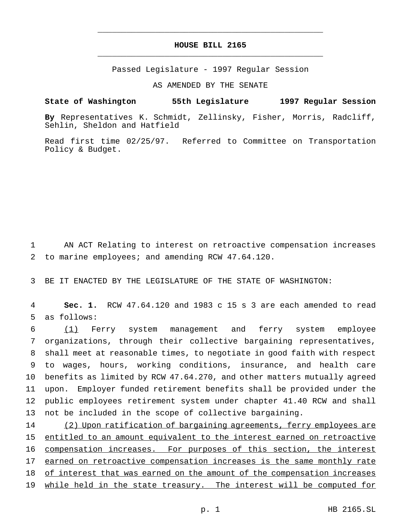## **HOUSE BILL 2165** \_\_\_\_\_\_\_\_\_\_\_\_\_\_\_\_\_\_\_\_\_\_\_\_\_\_\_\_\_\_\_\_\_\_\_\_\_\_\_\_\_\_\_\_\_\_\_

\_\_\_\_\_\_\_\_\_\_\_\_\_\_\_\_\_\_\_\_\_\_\_\_\_\_\_\_\_\_\_\_\_\_\_\_\_\_\_\_\_\_\_\_\_\_\_

Passed Legislature - 1997 Regular Session

AS AMENDED BY THE SENATE

**State of Washington 55th Legislature 1997 Regular Session**

**By** Representatives K. Schmidt, Zellinsky, Fisher, Morris, Radcliff, Sehlin, Sheldon and Hatfield

Read first time 02/25/97. Referred to Committee on Transportation Policy & Budget.

1 AN ACT Relating to interest on retroactive compensation increases 2 to marine employees; and amending RCW 47.64.120.

3 BE IT ENACTED BY THE LEGISLATURE OF THE STATE OF WASHINGTON:

4 **Sec. 1.** RCW 47.64.120 and 1983 c 15 s 3 are each amended to read 5 as follows:

 (1) Ferry system management and ferry system employee organizations, through their collective bargaining representatives, shall meet at reasonable times, to negotiate in good faith with respect to wages, hours, working conditions, insurance, and health care benefits as limited by RCW 47.64.270, and other matters mutually agreed upon. Employer funded retirement benefits shall be provided under the public employees retirement system under chapter 41.40 RCW and shall not be included in the scope of collective bargaining.

14 (2) Upon ratification of bargaining agreements, ferry employees are 15 entitled to an amount equivalent to the interest earned on retroactive 16 compensation increases. For purposes of this section, the interest 17 earned on retroactive compensation increases is the same monthly rate 18 of interest that was earned on the amount of the compensation increases 19 while held in the state treasury. The interest will be computed for